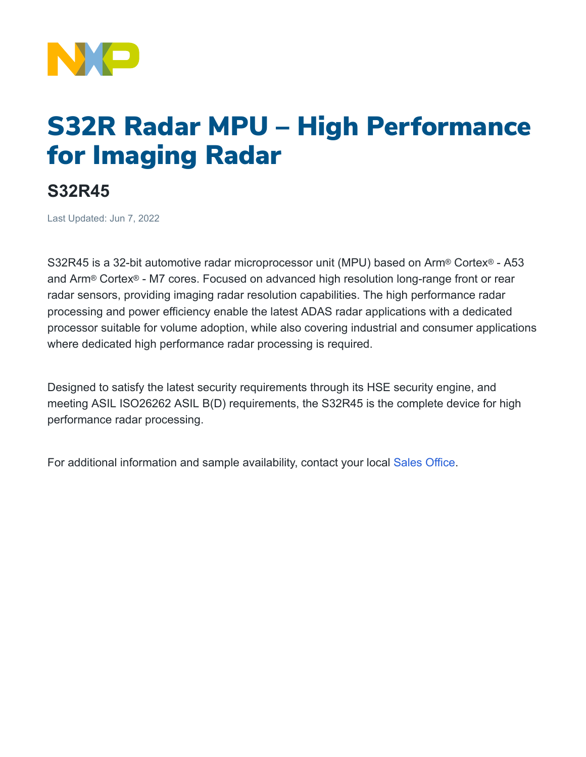

## S32R Radar MPU – High Performance for Imaging Radar

## **S32R45**

Last Updated: Jun 7, 2022

S32R45 is a 32-bit automotive radar microprocessor unit (MPU) based on Arm® Cortex® - A53 and Arm® Cortex® - M7 cores. Focused on advanced high resolution long-range front or rear radar sensors, providing imaging radar resolution capabilities. The high performance radar processing and power efficiency enable the latest ADAS radar applications with a dedicated processor suitable for volume adoption, while also covering industrial and consumer applications where dedicated high performance radar processing is required.

Designed to satisfy the latest security requirements through its HSE security engine, and meeting ASIL ISO26262 ASIL B(D) requirements, the S32R45 is the complete device for high performance radar processing.

For additional information and sample availability, contact your local Sales [Office.](https://www.nxp.com/support/support:SUPPORTHOME)